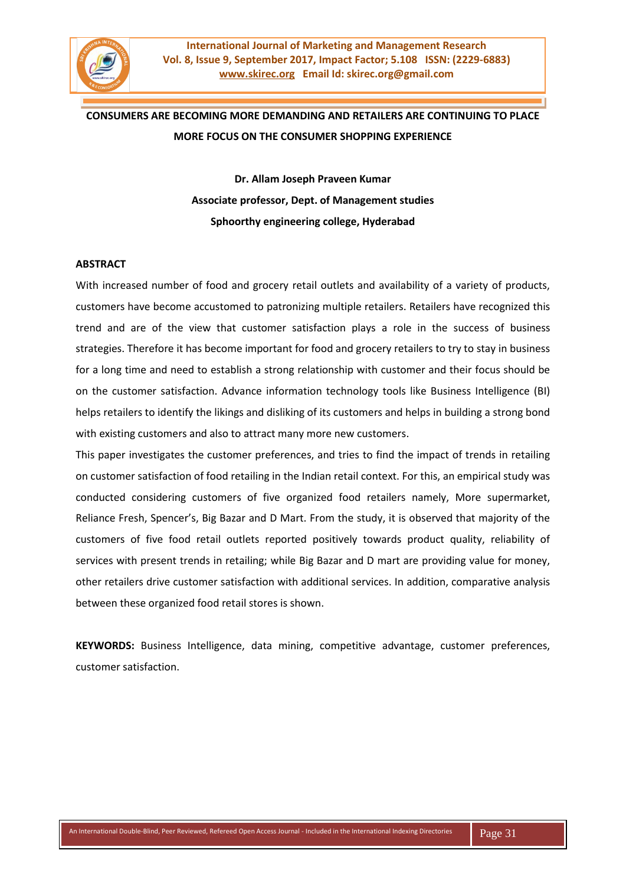

# **CONSUMERS ARE BECOMING MORE DEMANDING AND RETAILERS ARE CONTINUING TO PLACE MORE FOCUS ON THE CONSUMER SHOPPING EXPERIENCE**

**Dr. Allam Joseph Praveen Kumar Associate professor, Dept. of Management studies Sphoorthy engineering college, Hyderabad**

#### **ABSTRACT**

With increased number of food and grocery retail outlets and availability of a variety of products, customers have become accustomed to patronizing multiple retailers. Retailers have recognized this trend and are of the view that customer satisfaction plays a role in the success of business strategies. Therefore it has become important for food and grocery retailers to try to stay in business for a long time and need to establish a strong relationship with customer and their focus should be on the customer satisfaction. Advance information technology tools like Business Intelligence (BI) helps retailers to identify the likings and disliking of its customers and helps in building a strong bond with existing customers and also to attract many more new customers.

This paper investigates the customer preferences, and tries to find the impact of trends in retailing on customer satisfaction of food retailing in the Indian retail context. For this, an empirical study was conducted considering customers of five organized food retailers namely, More supermarket, Reliance Fresh, Spencer's, Big Bazar and D Mart. From the study, it is observed that majority of the customers of five food retail outlets reported positively towards product quality, reliability of services with present trends in retailing; while Big Bazar and D mart are providing value for money, other retailers drive customer satisfaction with additional services. In addition, comparative analysis between these organized food retail stores is shown.

**KEYWORDS:** Business Intelligence, data mining, competitive advantage, customer preferences, customer satisfaction.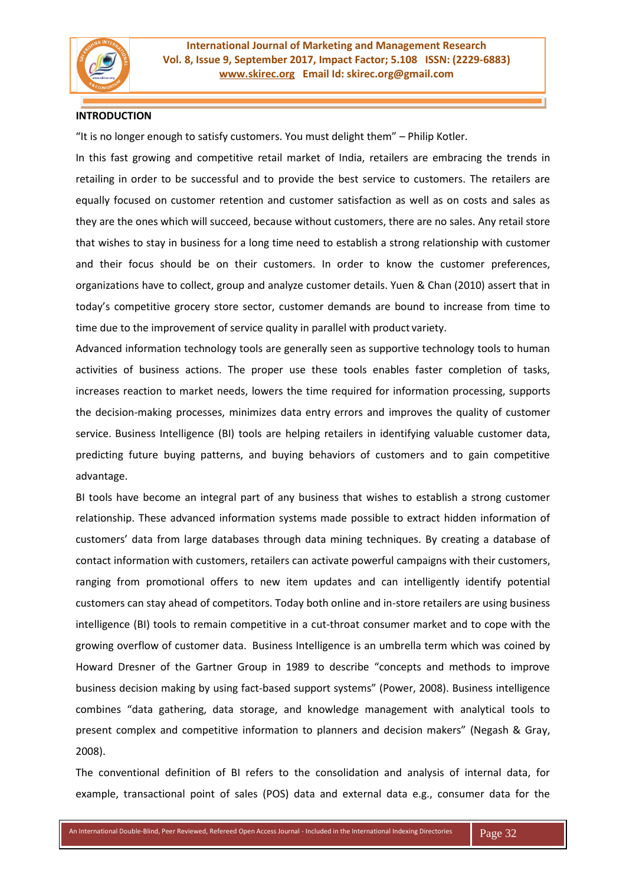

#### **INTRODUCTION**

"It is no longer enough to satisfy customers. You must delight them" – Philip Kotler.

In this fast growing and competitive retail market of India, retailers are embracing the trends in retailing in order to be successful and to provide the best service to customers. The retailers are equally focused on customer retention and customer satisfaction as well as on costs and sales as they are the ones which will succeed, because without customers, there are no sales. Any retail store that wishes to stay in business for a long time need to establish a strong relationship with customer and their focus should be on their customers. In order to know the customer preferences, organizations have to collect, group and analyze customer details. Yuen & Chan (2010) assert that in today's competitive grocery store sector, customer demands are bound to increase from time to time due to the improvement of service quality in parallel with product variety.

Advanced information technology tools are generally seen as supportive technology tools to human activities of business actions. The proper use these tools enables faster completion of tasks, increases reaction to market needs, lowers the time required for information processing, supports the decision-making processes, minimizes data entry errors and improves the quality of customer service. Business Intelligence (BI) tools are helping retailers in identifying valuable customer data, predicting future buying patterns, and buying behaviors of customers and to gain competitive advantage.

BI tools have become an integral part of any business that wishes to establish a strong customer relationship. These advanced information systems made possible to extract hidden information of customers' data from large databases through data mining techniques. By creating a database of contact information with customers, retailers can activate powerful campaigns with their customers, ranging from promotional offers to new item updates and can intelligently identify potential customers can stay ahead of competitors. Today both online and in-store retailers are using business intelligence (BI) tools to remain competitive in a cut-throat consumer market and to cope with the growing overflow of customer data. Business Intelligence is an umbrella term which was coined by Howard Dresner of the Gartner Group in 1989 to describe "concepts and methods to improve business decision making by using fact-based support systems" (Power, 2008). Business intelligence combines "data gathering, data storage, and knowledge management with analytical tools to present complex and competitive information to planners and decision makers" (Negash & Gray, 2008).

The conventional definition of BI refers to the consolidation and analysis of internal data, for example, transactional point of sales (POS) data and external data e.g., consumer data for the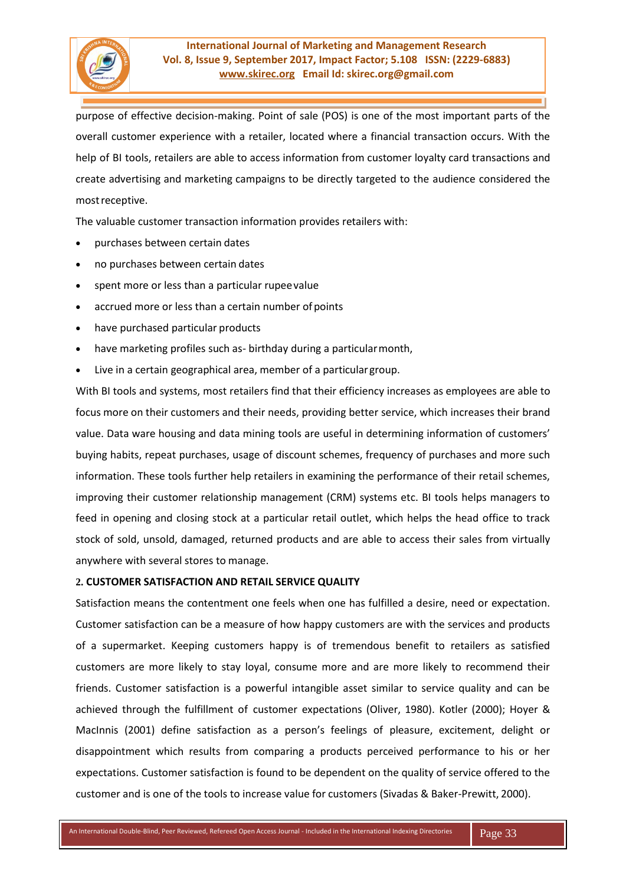

purpose of effective decision-making. Point of sale (POS) is one of the most important parts of the overall customer experience with a retailer, located where a financial transaction occurs. With the help of BI tools, retailers are able to access information from customer loyalty card transactions and create advertising and marketing campaigns to be directly targeted to the audience considered the mostreceptive.

The valuable customer transaction information provides retailers with:

- purchases between certain dates
- no purchases between certain dates
- spent more or less than a particular rupeevalue
- accrued more or less than a certain number of points
- have purchased particular products
- have marketing profiles such as- birthday during a particularmonth,
- Live in a certain geographical area, member of a particulargroup.

With BI tools and systems, most retailers find that their efficiency increases as employees are able to focus more on their customers and their needs, providing better service, which increases their brand value. Data ware housing and data mining tools are useful in determining information of customers' buying habits, repeat purchases, usage of discount schemes, frequency of purchases and more such information. These tools further help retailers in examining the performance of their retail schemes, improving their customer relationship management (CRM) systems etc. BI tools helps managers to feed in opening and closing stock at a particular retail outlet, which helps the head office to track stock of sold, unsold, damaged, returned products and are able to access their sales from virtually anywhere with several stores to manage.

#### **2. CUSTOMER SATISFACTION AND RETAIL SERVICE QUALITY**

Satisfaction means the contentment one feels when one has fulfilled a desire, need or expectation. Customer satisfaction can be a measure of how happy customers are with the services and products of a supermarket. Keeping customers happy is of tremendous benefit to retailers as satisfied customers are more likely to stay loyal, consume more and are more likely to recommend their friends. Customer satisfaction is a powerful intangible asset similar to service quality and can be achieved through the fulfillment of customer expectations (Oliver, 1980). Kotler (2000); Hoyer & MacInnis (2001) define satisfaction as a person's feelings of pleasure, excitement, delight or disappointment which results from comparing a products perceived performance to his or her expectations. Customer satisfaction is found to be dependent on the quality of service offered to the customer and is one of the tools to increase value for customers (Sivadas & Baker-Prewitt, 2000).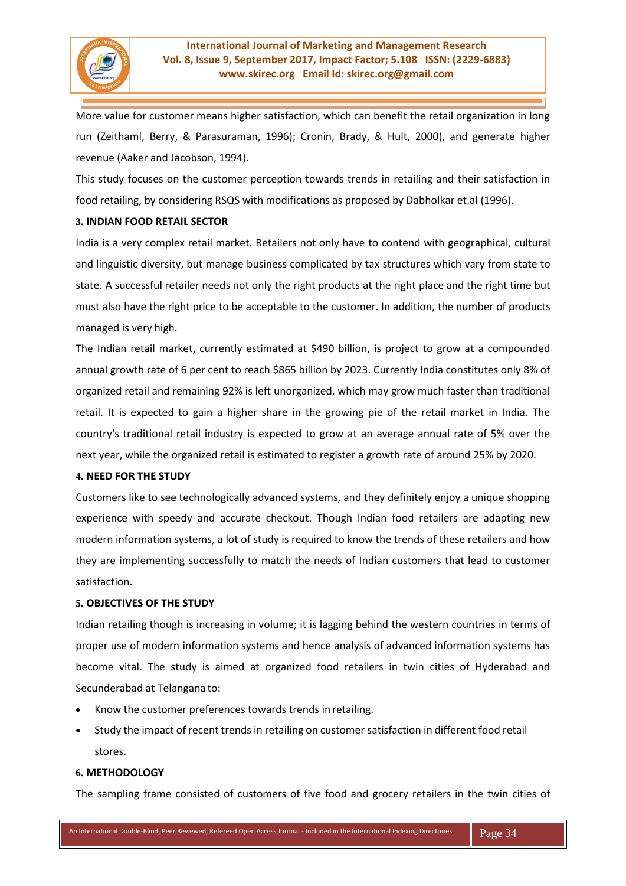

More value for customer means higher satisfaction, which can benefit the retail organization in long run (Zeithaml, Berry, & Parasuraman, 1996); Cronin, Brady, & Hult, 2000), and generate higher revenue (Aaker and Jacobson, 1994).

This study focuses on the customer perception towards trends in retailing and their satisfaction in food retailing, by considering RSQS with modifications as proposed by Dabholkar et.al (1996).

# **3. INDIAN FOOD RETAIL SECTOR**

India is a very complex retail market. Retailers not only have to contend with geographical, cultural and linguistic diversity, but manage business complicated by tax structures which vary from state to state. A successful retailer needs not only the right products at the right place and the right time but must also have the right price to be acceptable to the customer. In addition, the number of products managed is very high.

The Indian retail market, currently estimated at \$490 billion, is project to grow at a compounded annual growth rate of 6 per cent to reach \$865 billion by 2023. Currently India constitutes only 8% of organized retail and remaining 92% is left unorganized, which may grow much faster than traditional retail. It is expected to gain a higher share in the growing pie of the retail market in India. The country's traditional retail industry is expected to grow at an average annual rate of 5% over the next year, while the organized retail is estimated to register a growth rate of around 25% by 2020.

#### **4. NEED FOR THE STUDY**

Customers like to see technologically advanced systems, and they definitely enjoy a unique shopping experience with speedy and accurate checkout. Though Indian food retailers are adapting new modern information systems, a lot of study is required to know the trends of these retailers and how they are implementing successfully to match the needs of Indian customers that lead to customer satisfaction.

# **5. OBJECTIVES OF THE STUDY**

Indian retailing though is increasing in volume; it is lagging behind the western countries in terms of proper use of modern information systems and hence analysis of advanced information systems has become vital. The study is aimed at organized food retailers in twin cities of Hyderabad and Secunderabad at Telangana to:

- Know the customer preferences towards trends in retailing.
- Study the impact of recent trends in retailing on customer satisfaction in different food retail stores.

#### **6. METHODOLOGY**

The sampling frame consisted of customers of five food and grocery retailers in the twin cities of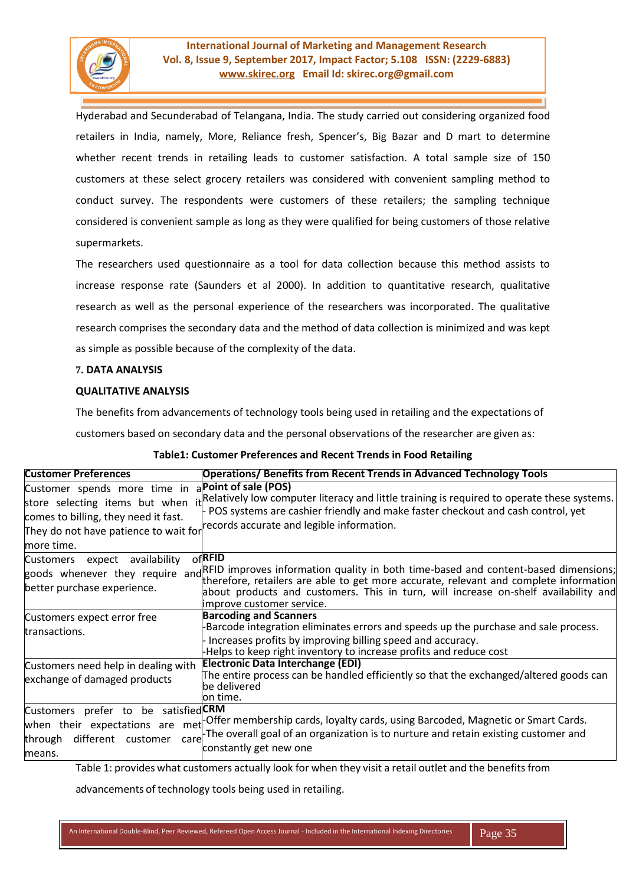

# **International Journal of Marketing and Management Research Vol. 8, Issue 9, September 2017, Impact Factor; 5.108 ISSN: (2229-6883) www.skirec.org Email Id: skirec.org@gmail.com**

Hyderabad and Secunderabad of Telangana, India. The study carried out considering organized food retailers in India, namely, More, Reliance fresh, Spencer's, Big Bazar and D mart to determine whether recent trends in retailing leads to customer satisfaction. A total sample size of 150 customers at these select grocery retailers was considered with convenient sampling method to conduct survey. The respondents were customers of these retailers; the sampling technique considered is convenient sample as long as they were qualified for being customers of those relative supermarkets.

The researchers used questionnaire as a tool for data collection because this method assists to increase response rate (Saunders et al 2000). In addition to quantitative research, qualitative research as well as the personal experience of the researchers was incorporated. The qualitative research comprises the secondary data and the method of data collection is minimized and was kept as simple as possible because of the complexity of the data.

# **7. DATA ANALYSIS**

# **QUALITATIVE ANALYSIS**

The benefits from advancements of technology tools being used in retailing and the expectations of

customers based on secondary data and the personal observations of the researcher are given as:

| <b>Customer Preferences</b>                                                                                                                                   | <b>Operations/ Benefits from Recent Trends in Advanced Technology Tools</b>                                                                                                                                                                                                                                                                   |
|---------------------------------------------------------------------------------------------------------------------------------------------------------------|-----------------------------------------------------------------------------------------------------------------------------------------------------------------------------------------------------------------------------------------------------------------------------------------------------------------------------------------------|
| Customer spends more time in<br>store selecting items but when<br>comes to billing, they need it fast.<br>They do not have patience to wait for<br>more time. | aPoint of sale (POS)<br>i <sub>t</sub> Relatively low computer literacy and little training is required to operate these systems.<br>POS systems are cashier friendly and make faster checkout and cash control, yet<br>records accurate and legible information.                                                                             |
| availability<br>Customers<br>expect<br>better purchase experience.                                                                                            | $of$ RFID<br>goods whenever they require and RFID improves information quality in both time-based and content-based dimensions;<br>therefore, retailers are able to get more accurate, relevant and complete information<br>about products and customers. This in turn, will increase on-shelf availability and<br>limprove customer service. |
| Customers expect error free<br>transactions.                                                                                                                  | <b>Barcoding and Scanners</b><br>Barcode integration eliminates errors and speeds up the purchase and sale process.<br>Increases profits by improving billing speed and accuracy.<br>Helps to keep right inventory to increase profits and reduce cost                                                                                        |
| Customers need help in dealing with<br>exchange of damaged products                                                                                           | Electronic Data Interchange (EDI)<br>The entire process can be handled efficiently so that the exchanged/altered goods can<br>be delivered<br>lon time.                                                                                                                                                                                       |
| Customers prefer to be satisfied CRM<br>when their expectations are met<br>different customer<br>through<br>care<br>means.                                    | -Offer membership cards, loyalty cards, using Barcoded, Magnetic or Smart Cards.<br>-The overall goal of an organization is to nurture and retain existing customer and<br>constantly get new one                                                                                                                                             |

| Table1: Customer Preferences and Recent Trends in Food Retailing |
|------------------------------------------------------------------|
|------------------------------------------------------------------|

Table 1: provides what customers actually look for when they visit a retail outlet and the benefitsfrom

advancements of technology tools being used in retailing.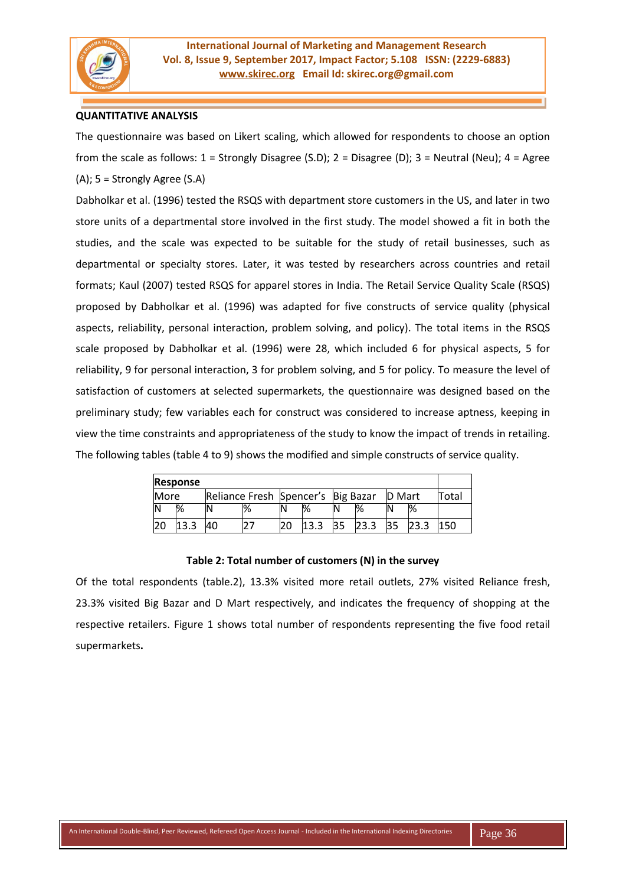

# **QUANTITATIVE ANALYSIS**

The questionnaire was based on Likert scaling, which allowed for respondents to choose an option from the scale as follows:  $1 =$  Strongly Disagree (S.D);  $2 =$  Disagree (D);  $3 =$  Neutral (Neu);  $4 =$  Agree (A); 5 = Strongly Agree (S.A)

Dabholkar et al. (1996) tested the RSQS with department store customers in the US, and later in two store units of a departmental store involved in the first study. The model showed a fit in both the studies, and the scale was expected to be suitable for the study of retail businesses, such as departmental or specialty stores. Later, it was tested by researchers across countries and retail formats; Kaul (2007) tested RSQS for apparel stores in India. The Retail Service Quality Scale (RSQS) proposed by Dabholkar et al. (1996) was adapted for five constructs of service quality (physical aspects, reliability, personal interaction, problem solving, and policy). The total items in the RSQS scale proposed by Dabholkar et al. (1996) were 28, which included 6 for physical aspects, 5 for reliability, 9 for personal interaction, 3 for problem solving, and 5 for policy. To measure the level of satisfaction of customers at selected supermarkets, the questionnaire was designed based on the preliminary study; few variables each for construct was considered to increase aptness, keeping in view the time constraints and appropriateness of the study to know the impact of trends in retailing. The following tables (table 4 to 9) shows the modified and simple constructs of service quality.

| Response |                   |  |                                    |  |      |  |      |               |               |       |
|----------|-------------------|--|------------------------------------|--|------|--|------|---------------|---------------|-------|
| More     |                   |  | Reliance Fresh Spencer's Big Bazar |  |      |  |      | <b>D</b> Mart |               | Total |
|          | $\%$              |  | %                                  |  | %    |  | $\%$ |               | $\frac{1}{6}$ |       |
|          | $\mathbf{r}$<br>ີ |  |                                    |  | 13.3 |  | 23.3 | 35            |               | 150   |

#### **Table 2: Total number of customers (N) in the survey**

Of the total respondents (table.2), 13.3% visited more retail outlets, 27% visited Reliance fresh, 23.3% visited Big Bazar and D Mart respectively, and indicates the frequency of shopping at the respective retailers. Figure 1 shows total number of respondents representing the five food retail supermarkets**.**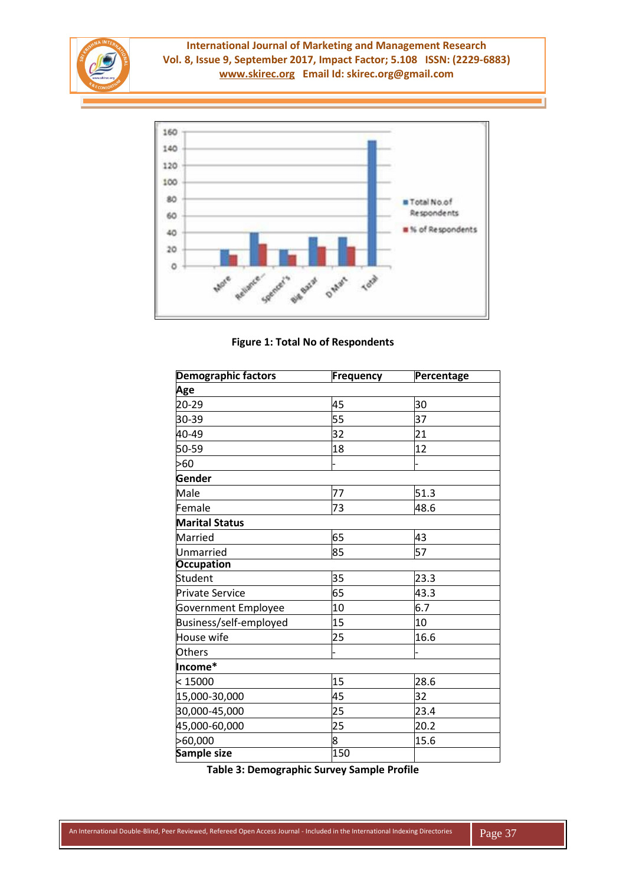



**Figure 1: Total No of Respondents**

| <b>Demographic factors</b> | Frequency | Percentage |
|----------------------------|-----------|------------|
| Age                        |           |            |
| 20-29                      | 45        | 30         |
| 30-39                      | 55        | 37         |
| 40-49                      | 32        | 21         |
| 50-59                      | 18        | 12         |
| >60                        |           |            |
| <b>Gender</b>              |           |            |
| Male                       | 77        | 51.3       |
| Female                     | 73        | 48.6       |
| <b>Marital Status</b>      |           |            |
| Married                    | 65        | 43         |
| Unmarried                  | 85        | 57         |
| <b>Occupation</b>          |           |            |
| Student                    | 35        | 23.3       |
| <b>Private Service</b>     | 65        | 43.3       |
| Government Employee        | 10        | 6.7        |
| Business/self-employed     | 15        | 10         |
| House wife                 | 25        | 16.6       |
| <b>Others</b>              |           |            |
| Income*                    |           |            |
| < 15000                    | 15        | 28.6       |
| 15,000-30,000              | 45        | 32         |
| 30,000-45,000              | 25        | 23.4       |
| 45,000-60,000              | 25        | 20.2       |
| >60,000                    | 8         | 15.6       |
| Sample size                | 150       |            |

**Table 3: Demographic Survey Sample Profile**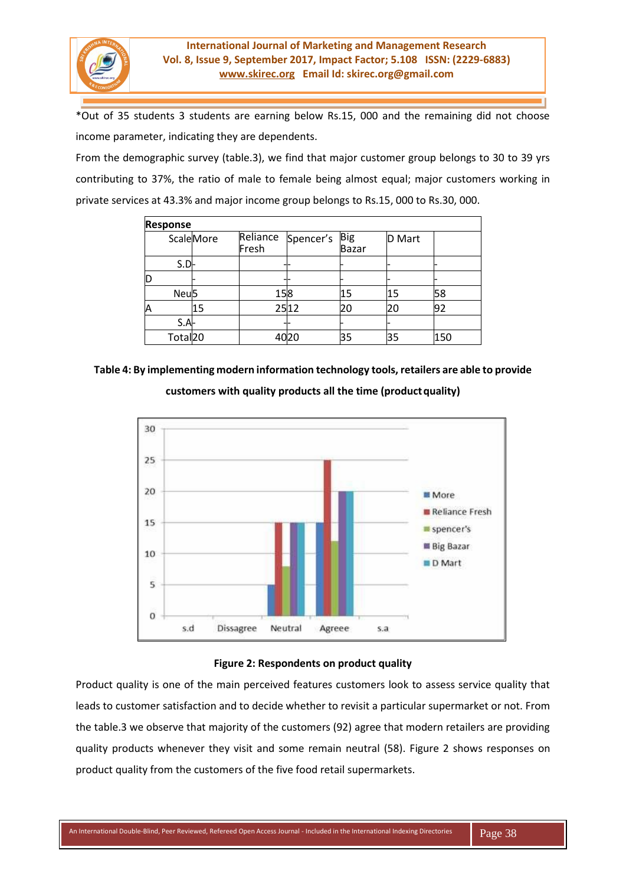

\*Out of 35 students 3 students are earning below Rs.15, 000 and the remaining did not choose income parameter, indicating they are dependents.

From the demographic survey (table.3), we find that major customer group belongs to 30 to 39 yrs contributing to 37%, the ratio of male to female being almost equal; major customers working in private services at 43.3% and major income group belongs to Rs.15, 000 to Rs.30, 000.

| <b>Response</b>     |                   |                   |               |              |        |     |
|---------------------|-------------------|-------------------|---------------|--------------|--------|-----|
|                     | <b>Scale</b> More | Reliance<br>Fresh | Spencer's Big | <b>Bazar</b> | D Mart |     |
| $S.D-$              |                   |                   |               |              |        |     |
|                     |                   |                   |               |              |        |     |
| Neu <sup>5</sup>    |                   | 158               |               | 15           | 15     | 58  |
|                     | 15                |                   | 2512          | 20           | 20     | 92  |
| $S.A-$              |                   |                   |               |              |        |     |
| Total <sub>20</sub> |                   |                   |               | 35           | 35     | 150 |

# **Table 4: By implementing modern information technology tools, retailers are able to provide**

**customers with quality products all the time (productquality)**



# **Figure 2: Respondents on product quality**

Product quality is one of the main perceived features customers look to assess service quality that leads to customer satisfaction and to decide whether to revisit a particular supermarket or not. From the table.3 we observe that majority of the customers (92) agree that modern retailers are providing quality products whenever they visit and some remain neutral (58). Figure 2 shows responses on product quality from the customers of the five food retail supermarkets.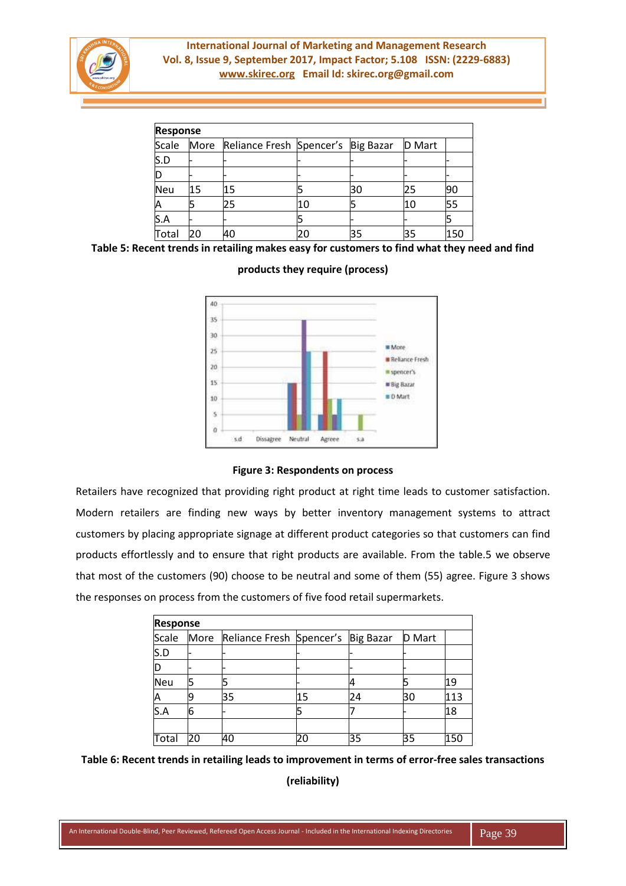

| <b>Response</b> |      |                                    |    |    |               |     |  |  |
|-----------------|------|------------------------------------|----|----|---------------|-----|--|--|
| Scale           | More | Reliance Fresh Spencer's Big Bazar |    |    | <b>D</b> Mart |     |  |  |
| S.D             |      |                                    |    |    |               |     |  |  |
|                 |      |                                    |    |    |               |     |  |  |
| <b>Neu</b>      | 15   | 15                                 |    | 30 | 25            | 90  |  |  |
|                 |      | 25                                 | 10 |    | 10            | 55  |  |  |
| S.A             |      |                                    |    |    |               |     |  |  |
| Total           | 20   | 40                                 |    | 35 | 35            | 150 |  |  |

#### **Table 5: Recent trends in retailing makes easy for customers to find what they need and find**



#### **products they require (process)**

#### **Figure 3: Respondents on process**

Retailers have recognized that providing right product at right time leads to customer satisfaction. Modern retailers are finding new ways by better inventory management systems to attract customers by placing appropriate signage at different product categories so that customers can find products effortlessly and to ensure that right products are available. From the table.5 we observe that most of the customers (90) choose to be neutral and some of them (55) agree. Figure 3 shows the responses on process from the customers of five food retail supermarkets.

| <b>Response</b> |      |                                    |    |    |               |     |
|-----------------|------|------------------------------------|----|----|---------------|-----|
| Scale           | More | Reliance Fresh Spencer's Big Bazar |    |    | <b>D</b> Mart |     |
| S.D             |      |                                    |    |    |               |     |
|                 |      |                                    |    |    |               |     |
| <b>Neu</b>      |      |                                    |    |    |               | 19  |
|                 |      | 35                                 | 15 | 24 | 30            | 113 |
| S.A             | 6    |                                    |    |    |               | 18  |
|                 |      |                                    |    |    |               |     |
| Total           | 20   | 40                                 | 20 | 35 | 35            | 150 |

**Table 6: Recent trends in retailing leads to improvement in terms of error-free sales transactions** 

**(reliability)**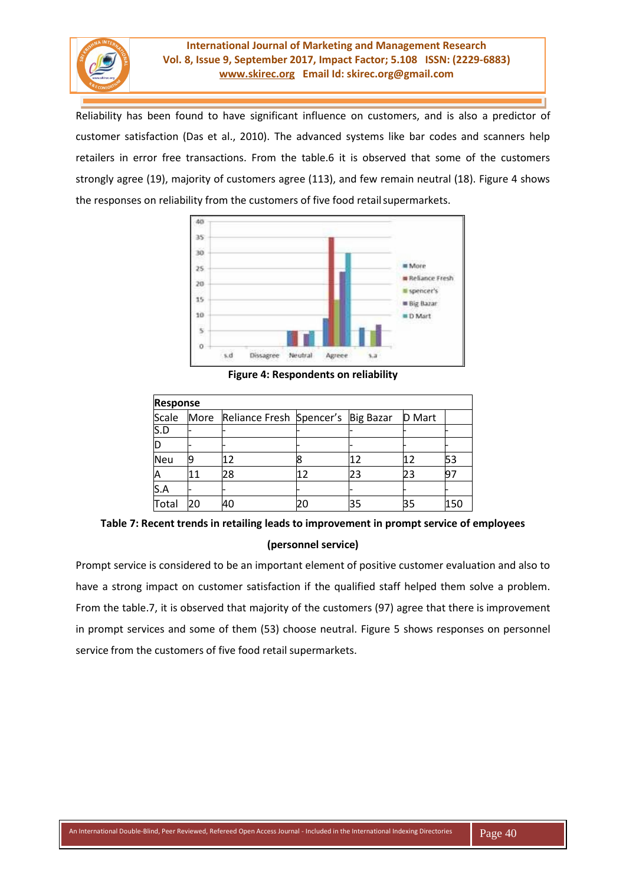

Reliability has been found to have significant influence on customers, and is also a predictor of customer satisfaction (Das et al., 2010). The advanced systems like bar codes and scanners help retailers in error free transactions. From the table.6 it is observed that some of the customers strongly agree (19), majority of customers agree (113), and few remain neutral (18). Figure 4 shows the responses on reliability from the customers of five food retail supermarkets.



**Figure 4: Respondents on reliability**

| <b>Response</b> |      |                                    |    |    |        |     |
|-----------------|------|------------------------------------|----|----|--------|-----|
| Scale           | More | Reliance Fresh Spencer's Big Bazar |    |    | D Mart |     |
| S.D             |      |                                    |    |    |        |     |
|                 |      |                                    |    |    |        |     |
| Neu             |      | 12                                 |    | 12 |        | 53  |
|                 | 11   | 28                                 | 12 | 23 | 23     | 97  |
| S.A             |      |                                    |    |    |        |     |
| Total           | 20   | 40                                 |    | 35 | 35     | 150 |

**Table 7: Recent trends in retailing leads to improvement in prompt service of employees (personnel service)**

Prompt service is considered to be an important element of positive customer evaluation and also to have a strong impact on customer satisfaction if the qualified staff helped them solve a problem. From the table.7, it is observed that majority of the customers (97) agree that there is improvement in prompt services and some of them (53) choose neutral. Figure 5 shows responses on personnel service from the customers of five food retail supermarkets.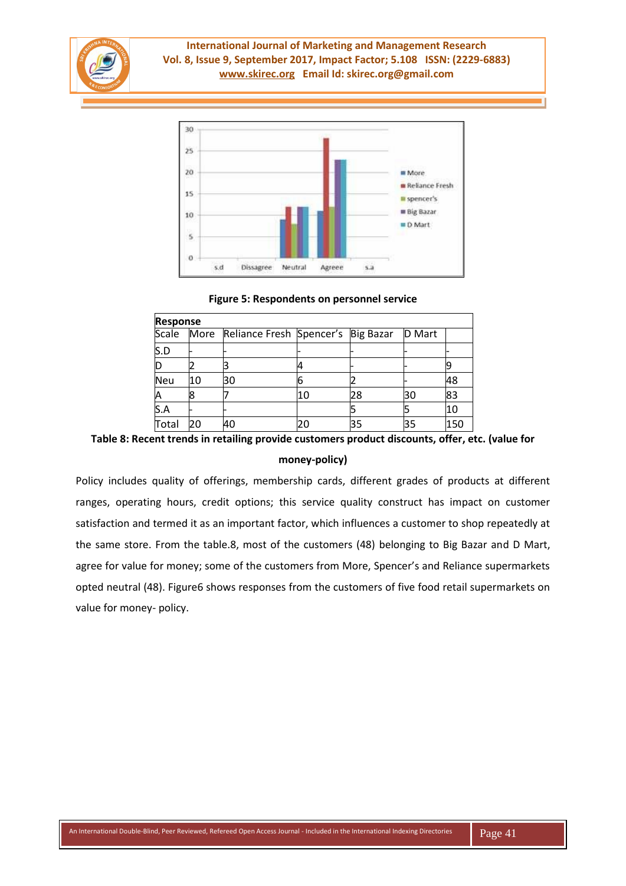



#### **Figure 5: Respondents on personnel service**

| <b>Response</b> |    |                                               |    |    |        |     |  |
|-----------------|----|-----------------------------------------------|----|----|--------|-----|--|
|                 |    | Scale More Reliance Fresh Spencer's Big Bazar |    |    | D Mart |     |  |
| S.D             |    |                                               |    |    |        |     |  |
|                 |    |                                               |    |    |        |     |  |
| <b>Neu</b>      | 10 | 30                                            | b  |    |        | 48  |  |
|                 |    |                                               | 10 | 28 | 30     | 83  |  |
| S.A             |    |                                               |    |    |        | 10  |  |
| Total           | 20 | 40                                            |    | 35 | 35     | 150 |  |

**Table 8: Recent trends in retailing provide customers product discounts, offer, etc. (value for** 

#### **money-policy)**

Policy includes quality of offerings, membership cards, different grades of products at different ranges, operating hours, credit options; this service quality construct has impact on customer satisfaction and termed it as an important factor, which influences a customer to shop repeatedly at the same store. From the table.8, most of the customers (48) belonging to Big Bazar and D Mart, agree for value for money; some of the customers from More, Spencer's and Reliance supermarkets opted neutral (48). Figure6 shows responses from the customers of five food retail supermarkets on value for money- policy.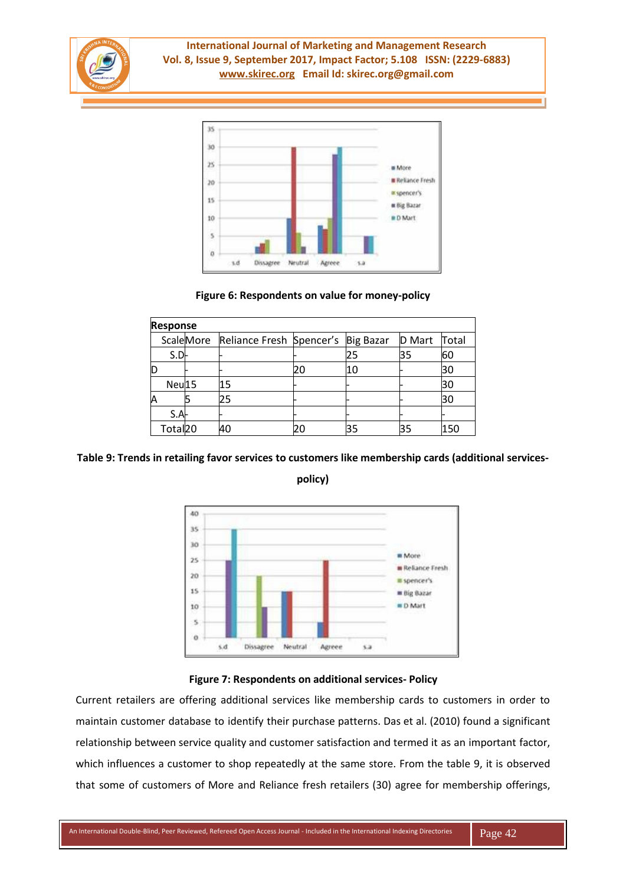



# **Figure 6: Respondents on value for money-policy**

| <b>Response</b>     |                                              |    |    |               |       |
|---------------------|----------------------------------------------|----|----|---------------|-------|
|                     | ScaleMore Reliance Fresh Spencer's Big Bazar |    |    | <b>D</b> Mart | Total |
| $S.D-$              |                                              |    | 25 | 35            | 60    |
|                     |                                              | 20 | 10 |               | 30    |
| Neu <sup>15</sup>   | 15                                           |    |    |               | 30    |
|                     | 25                                           |    |    |               | 30    |
| $S.A-$              |                                              |    |    |               |       |
| Total <sub>20</sub> | 40                                           | 20 | 35 | 35            | 150   |

# **Table 9: Trends in retailing favor services to customers like membership cards (additional services-**

**policy)**



# **Figure 7: Respondents on additional services- Policy**

Current retailers are offering additional services like membership cards to customers in order to maintain customer database to identify their purchase patterns. Das et al. (2010) found a significant relationship between service quality and customer satisfaction and termed it as an important factor, which influences a customer to shop repeatedly at the same store. From the table 9, it is observed that some of customers of More and Reliance fresh retailers (30) agree for membership offerings,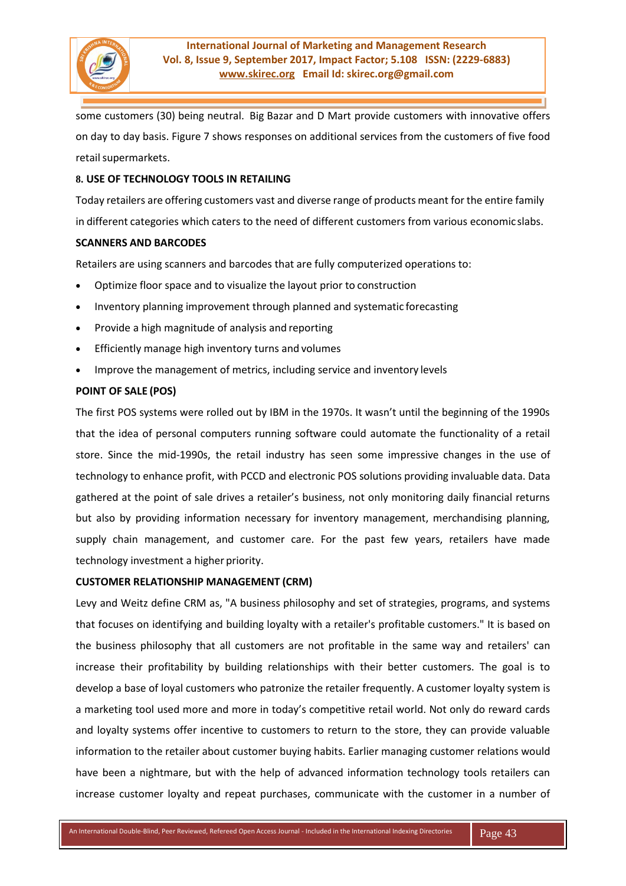

some customers (30) being neutral. Big Bazar and D Mart provide customers with innovative offers on day to day basis. Figure 7 shows responses on additional services from the customers of five food retail supermarkets.

#### **8. USE OF TECHNOLOGY TOOLS IN RETAILING**

Today retailers are offering customers vast and diverse range of products meant for the entire family in different categories which caters to the need of different customers from various economic slabs.

# **SCANNERS AND BARCODES**

Retailers are using scanners and barcodes that are fully computerized operations to:

- Optimize floor space and to visualize the layout prior to construction
- Inventory planning improvement through planned and systematic forecasting
- Provide a high magnitude of analysis and reporting
- Efficiently manage high inventory turns and volumes
- Improve the management of metrics, including service and inventory levels

# **POINT OF SALE (POS)**

The first POS systems were rolled out by IBM in the 1970s. It wasn't until the beginning of the 1990s that the idea of personal computers running software could automate the functionality of a retail store. Since the mid-1990s, the retail industry has seen some impressive changes in the use of technology to enhance profit, with PCCD and electronic POS solutions providing invaluable data. Data gathered at the point of sale drives a retailer's business, not only monitoring daily financial returns but also by providing information necessary for inventory management, merchandising planning, supply chain management, and customer care. For the past few years, retailers have made technology investment a higher priority.

#### **CUSTOMER RELATIONSHIP MANAGEMENT (CRM)**

Levy and Weitz define CRM as, "A business philosophy and set of strategies, programs, and systems that focuses on identifying and building loyalty with a retailer's profitable customers." It is based on the business philosophy that all customers are not profitable in the same way and retailers' can increase their profitability by building relationships with their better customers. The goal is to develop a base of loyal customers who patronize the retailer frequently. A customer loyalty system is a marketing tool used more and more in today's competitive retail world. Not only do reward cards and loyalty systems offer incentive to customers to return to the store, they can provide valuable information to the retailer about customer buying habits. Earlier managing customer relations would have been a nightmare, but with the help of advanced information technology tools retailers can increase customer loyalty and repeat purchases, communicate with the customer in a number of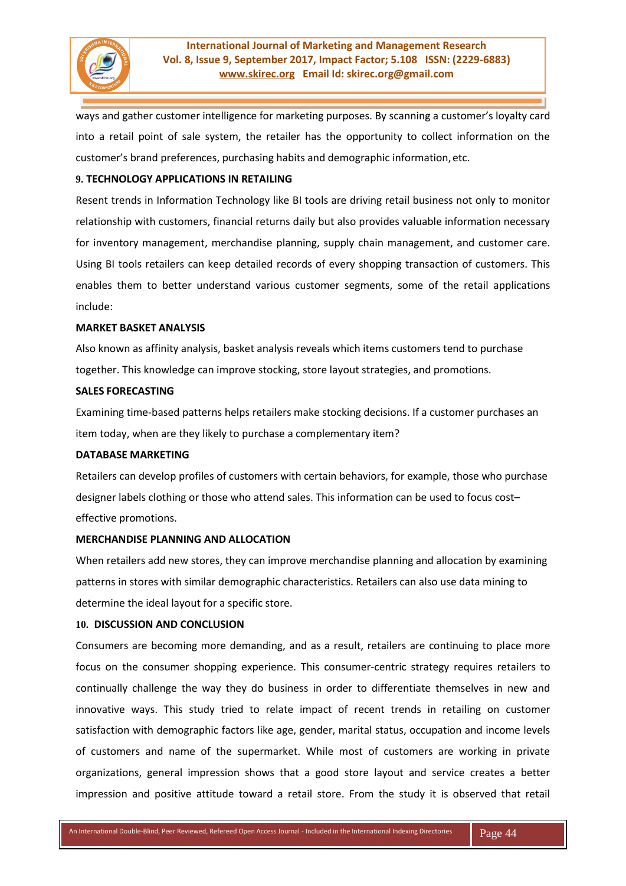

ways and gather customer intelligence for marketing purposes. By scanning a customer's loyalty card into a retail point of sale system, the retailer has the opportunity to collect information on the customer's brand preferences, purchasing habits and demographic information,etc.

# **9. TECHNOLOGY APPLICATIONS IN RETAILING**

Resent trends in Information Technology like BI tools are driving retail business not only to monitor relationship with customers, financial returns daily but also provides valuable information necessary for inventory management, merchandise planning, supply chain management, and customer care. Using BI tools retailers can keep detailed records of every shopping transaction of customers. This enables them to better understand various customer segments, some of the retail applications include:

#### **MARKET BASKET ANALYSIS**

Also known as affinity analysis, basket analysis reveals which items customers tend to purchase together. This knowledge can improve stocking, store layout strategies, and promotions.

#### **SALES FORECASTING**

Examining time-based patterns helps retailers make stocking decisions. If a customer purchases an item today, when are they likely to purchase a complementary item?

#### **DATABASE MARKETING**

Retailers can develop profiles of customers with certain behaviors, for example, those who purchase designer labels clothing or those who attend sales. This information can be used to focus cost– effective promotions.

#### **MERCHANDISE PLANNING AND ALLOCATION**

When retailers add new stores, they can improve merchandise planning and allocation by examining patterns in stores with similar demographic characteristics. Retailers can also use data mining to determine the ideal layout for a specific store.

#### **10. DISCUSSION AND CONCLUSION**

Consumers are becoming more demanding, and as a result, retailers are continuing to place more focus on the consumer shopping experience. This consumer-centric strategy requires retailers to continually challenge the way they do business in order to differentiate themselves in new and innovative ways. This study tried to relate impact of recent trends in retailing on customer satisfaction with demographic factors like age, gender, marital status, occupation and income levels of customers and name of the supermarket. While most of customers are working in private organizations, general impression shows that a good store layout and service creates a better impression and positive attitude toward a retail store. From the study it is observed that retail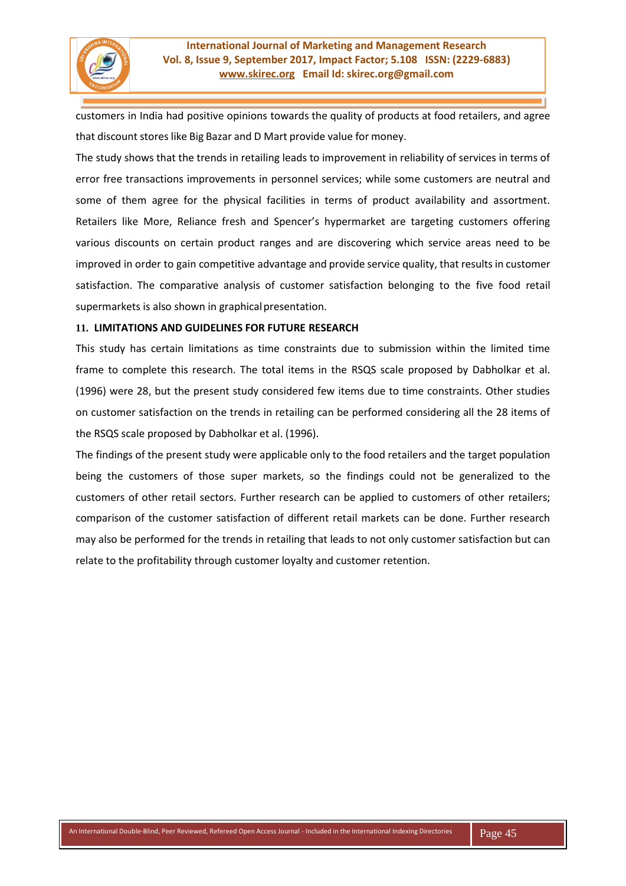

customers in India had positive opinions towards the quality of products at food retailers, and agree that discount stores like Big Bazar and D Mart provide value for money.

The study shows that the trends in retailing leads to improvement in reliability of services in terms of error free transactions improvements in personnel services; while some customers are neutral and some of them agree for the physical facilities in terms of product availability and assortment. Retailers like More, Reliance fresh and Spencer's hypermarket are targeting customers offering various discounts on certain product ranges and are discovering which service areas need to be improved in order to gain competitive advantage and provide service quality, that results in customer satisfaction. The comparative analysis of customer satisfaction belonging to the five food retail supermarkets is also shown in graphical presentation.

# **11. LIMITATIONS AND GUIDELINES FOR FUTURE RESEARCH**

This study has certain limitations as time constraints due to submission within the limited time frame to complete this research. The total items in the RSQS scale proposed by Dabholkar et al. (1996) were 28, but the present study considered few items due to time constraints. Other studies on customer satisfaction on the trends in retailing can be performed considering all the 28 items of the RSQS scale proposed by Dabholkar et al. (1996).

The findings of the present study were applicable only to the food retailers and the target population being the customers of those super markets, so the findings could not be generalized to the customers of other retail sectors. Further research can be applied to customers of other retailers; comparison of the customer satisfaction of different retail markets can be done. Further research may also be performed for the trends in retailing that leads to not only customer satisfaction but can relate to the profitability through customer loyalty and customer retention.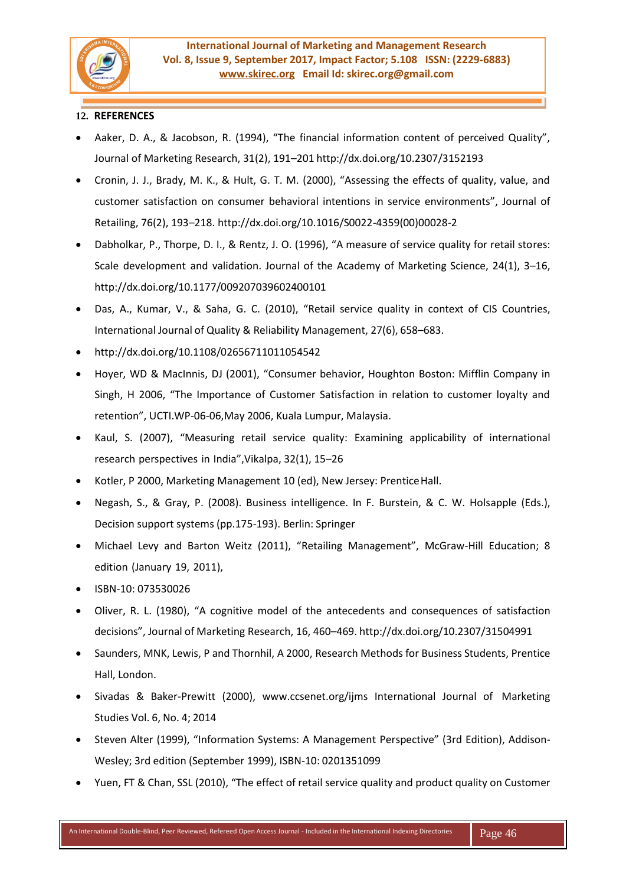

# **12. REFERENCES**

- Aaker, D. A., & Jacobson, R. (1994), "The financial information content of perceived Quality", Journal of Marketing Research, 31(2), 191–201 <http://dx.doi.org/10.2307/3152193>
- Cronin, J. J., Brady, M. K., & Hult, G. T. M. (2000), "Assessing the effects of quality, value, and customer satisfaction on consumer behavioral intentions in service environments", Journal of Retailing, 76(2), 193–218. [http://dx.doi.org/10.1016/S0022-4359\(00\)00028-2](http://dx.doi.org/10.1016/S0022-4359(00)00028-2)
- Dabholkar, P., Thorpe, D. I., & Rentz, J. O. (1996), "A measure of service quality for retail stores: Scale development and validation. Journal of the Academy of Marketing Science, 24(1), 3–16, <http://dx.doi.org/10.1177/009207039602400101>
- Das, A., Kumar, V., & Saha, G. C. (2010), "Retail service quality in context of CIS Countries, International Journal of Quality & Reliability Management, 27(6), 658–683.
- <http://dx.doi.org/10.1108/02656711011054542>
- Hoyer, WD & MacInnis, DJ (2001), "Consumer behavior, Houghton Boston: Mifflin Company in Singh, H 2006, "The Importance of Customer Satisfaction in relation to customer loyalty and retention", UCTI.WP-06-06,May 2006, Kuala Lumpur, Malaysia.
- Kaul, S. (2007), "Measuring retail service quality: Examining applicability of international research perspectives in India",Vikalpa, 32(1), 15–26
- Kotler, P 2000, Marketing Management 10 (ed), New Jersey: Prentice Hall.
- Negash, S., & Gray, P. (2008). Business intelligence. In F. Burstein, & C. W. Holsapple (Eds.), Decision support systems (pp.175-193). Berlin: Springer
- Michael Levy and Barton Weitz (2011), "Retailing Management", McGraw-Hill Education; 8 edition (January 19, 2011),
- ISBN-10: 073530026
- Oliver, R. L. (1980), "A cognitive model of the antecedents and consequences of satisfaction decisions", Journal of Marketing Research, 16, 460–469. <http://dx.doi.org/10.2307/31504991>
- Saunders, MNK, Lewis, P and Thornhil, A 2000, Research Methods for Business Students, Prentice Hall, London.
- Sivadas & Baker-Prewitt (2000), [www.ccsenet.org/ijms](http://www.ccsenet.org/ijms) International Journal of Marketing Studies Vol. 6, No. 4; 2014
- Steven Alter (1999), "Information Systems: A Management Perspective" (3rd Edition), Addison-Wesley; 3rd edition (September 1999), ISBN-10: 0201351099
- Yuen, FT & Chan, SSL (2010), "The effect of retail service quality and product quality on Customer